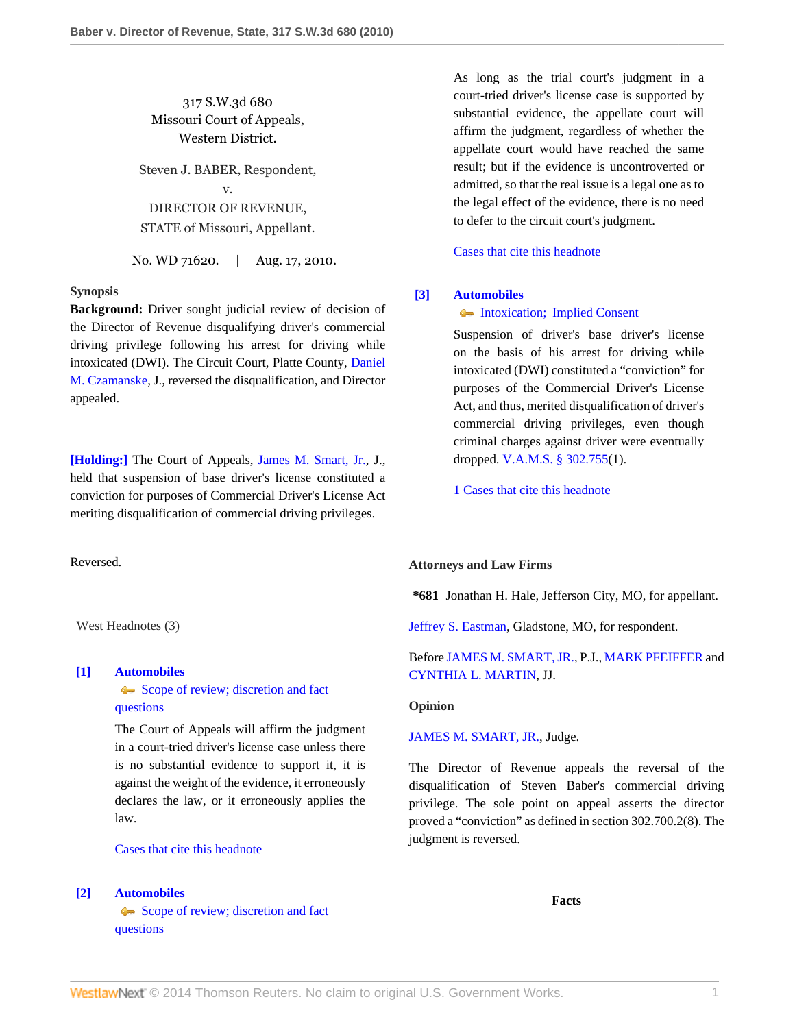317 S.W.3d 680 Missouri Court of Appeals, Western District.

Steven J. BABER, Respondent, v. DIRECTOR OF REVENUE, STATE of Missouri, Appellant.

No. WD 71620. | Aug. 17, 2010.

## **Synopsis**

**Background:** Driver sought judicial review of decision of the Director of Revenue disqualifying driver's commercial driving privilege following his arrest for driving while intoxicated (DWI). The Circuit Court, Platte County, [Daniel](http://www.westlaw.com/Link/Document/FullText?findType=h&pubNum=176284&cite=0236469701&originatingDoc=Ie1cbdeaea9ea11df89d8bf2e8566150b&refType=RQ&originationContext=document&vr=3.0&rs=cblt1.0&transitionType=DocumentItem&contextData=(sc.Search)) [M. Czamanske,](http://www.westlaw.com/Link/Document/FullText?findType=h&pubNum=176284&cite=0236469701&originatingDoc=Ie1cbdeaea9ea11df89d8bf2e8566150b&refType=RQ&originationContext=document&vr=3.0&rs=cblt1.0&transitionType=DocumentItem&contextData=(sc.Search)) J., reversed the disqualification, and Director appealed.

**[\[Holding:\]](#page-0-0)** The Court of Appeals, [James M. Smart, Jr.,](http://www.westlaw.com/Link/Document/FullText?findType=h&pubNum=176284&cite=0160053901&originatingDoc=Ie1cbdeaea9ea11df89d8bf2e8566150b&refType=RQ&originationContext=document&vr=3.0&rs=cblt1.0&transitionType=DocumentItem&contextData=(sc.Search)) J., held that suspension of base driver's license constituted a conviction for purposes of Commercial Driver's License Act meriting disqualification of commercial driving privileges.

Reversed.

West Headnotes (3)

## <span id="page-0-1"></span>**[\[1\]](#page-1-0) [Automobiles](http://www.westlaw.com/Browse/Home/KeyNumber/48A/View.html?docGuid=Ie1cbdeaea9ea11df89d8bf2e8566150b&originationContext=document&vr=3.0&rs=cblt1.0&transitionType=DocumentItem&contextData=(sc.Search))**

[Scope of review; discretion and fact](http://www.westlaw.com/Browse/Home/KeyNumber/48Ak144.2(3)/View.html?docGuid=Ie1cbdeaea9ea11df89d8bf2e8566150b&originationContext=document&vr=3.0&rs=cblt1.0&transitionType=DocumentItem&contextData=(sc.Search)) [questions](http://www.westlaw.com/Browse/Home/KeyNumber/48Ak144.2(3)/View.html?docGuid=Ie1cbdeaea9ea11df89d8bf2e8566150b&originationContext=document&vr=3.0&rs=cblt1.0&transitionType=DocumentItem&contextData=(sc.Search))

The Court of Appeals will affirm the judgment in a court-tried driver's license case unless there is no substantial evidence to support it, it is against the weight of the evidence, it erroneously declares the law, or it erroneously applies the law.

[Cases that cite this headnote](http://www.westlaw.com/Link/RelatedInformation/DocHeadnoteLink?docGuid=Ie1cbdeaea9ea11df89d8bf2e8566150b&headnoteId=202277768300120101103182637&originationContext=document&vr=3.0&rs=cblt1.0&transitionType=CitingReferences&contextData=(sc.Search))

#### <span id="page-0-2"></span>**[\[2\]](#page-1-1) [Automobiles](http://www.westlaw.com/Browse/Home/KeyNumber/48A/View.html?docGuid=Ie1cbdeaea9ea11df89d8bf2e8566150b&originationContext=document&vr=3.0&rs=cblt1.0&transitionType=DocumentItem&contextData=(sc.Search))**

[Scope of review; discretion and fact](http://www.westlaw.com/Browse/Home/KeyNumber/48Ak144.2(3)/View.html?docGuid=Ie1cbdeaea9ea11df89d8bf2e8566150b&originationContext=document&vr=3.0&rs=cblt1.0&transitionType=DocumentItem&contextData=(sc.Search)) [questions](http://www.westlaw.com/Browse/Home/KeyNumber/48Ak144.2(3)/View.html?docGuid=Ie1cbdeaea9ea11df89d8bf2e8566150b&originationContext=document&vr=3.0&rs=cblt1.0&transitionType=DocumentItem&contextData=(sc.Search))

As long as the trial court's judgment in a court-tried driver's license case is supported by substantial evidence, the appellate court will affirm the judgment, regardless of whether the appellate court would have reached the same result; but if the evidence is uncontroverted or admitted, so that the real issue is a legal one as to the legal effect of the evidence, there is no need to defer to the circuit court's judgment.

[Cases that cite this headnote](http://www.westlaw.com/Link/RelatedInformation/DocHeadnoteLink?docGuid=Ie1cbdeaea9ea11df89d8bf2e8566150b&headnoteId=202277768300220101103182637&originationContext=document&vr=3.0&rs=cblt1.0&transitionType=CitingReferences&contextData=(sc.Search))

### <span id="page-0-0"></span>**[\[3\]](#page-2-0) [Automobiles](http://www.westlaw.com/Browse/Home/KeyNumber/48A/View.html?docGuid=Ie1cbdeaea9ea11df89d8bf2e8566150b&originationContext=document&vr=3.0&rs=cblt1.0&transitionType=DocumentItem&contextData=(sc.Search))**

## [Intoxication; Implied Consent](http://www.westlaw.com/Browse/Home/KeyNumber/48Ak144.1(1.10)/View.html?docGuid=Ie1cbdeaea9ea11df89d8bf2e8566150b&originationContext=document&vr=3.0&rs=cblt1.0&transitionType=DocumentItem&contextData=(sc.Search))

Suspension of driver's base driver's license on the basis of his arrest for driving while intoxicated (DWI) constituted a "conviction" for purposes of the Commercial Driver's License Act, and thus, merited disqualification of driver's commercial driving privileges, even though criminal charges against driver were eventually dropped. [V.A.M.S. § 302.755\(](http://www.westlaw.com/Link/Document/FullText?findType=L&pubNum=1000229&cite=MOST302.755&originatingDoc=Ie1cbdeaea9ea11df89d8bf2e8566150b&refType=LQ&originationContext=document&vr=3.0&rs=cblt1.0&transitionType=DocumentItem&contextData=(sc.Search))1).

[1 Cases that cite this headnote](http://www.westlaw.com/Link/RelatedInformation/DocHeadnoteLink?docGuid=Ie1cbdeaea9ea11df89d8bf2e8566150b&headnoteId=202277768300320101103182637&originationContext=document&vr=3.0&rs=cblt1.0&transitionType=CitingReferences&contextData=(sc.Search))

## **Attorneys and Law Firms**

**\*681** Jonathan H. Hale, Jefferson City, MO, for appellant.

[Jeffrey S. Eastman](http://www.westlaw.com/Link/Document/FullText?findType=h&pubNum=176284&cite=0155918901&originatingDoc=Ie1cbdeaea9ea11df89d8bf2e8566150b&refType=RQ&originationContext=document&vr=3.0&rs=cblt1.0&transitionType=DocumentItem&contextData=(sc.Search)), Gladstone, MO, for respondent.

# Before [JAMES M. SMART, JR.](http://www.westlaw.com/Link/Document/FullText?findType=h&pubNum=176284&cite=0160053901&originatingDoc=Ie1cbdeaea9ea11df89d8bf2e8566150b&refType=RQ&originationContext=document&vr=3.0&rs=cblt1.0&transitionType=DocumentItem&contextData=(sc.Search)), P.J., [MARK PFEIFFER](http://www.westlaw.com/Link/Document/FullText?findType=h&pubNum=176284&cite=0105881801&originatingDoc=Ie1cbdeaea9ea11df89d8bf2e8566150b&refType=RQ&originationContext=document&vr=3.0&rs=cblt1.0&transitionType=DocumentItem&contextData=(sc.Search)) and [CYNTHIA L. MARTIN](http://www.westlaw.com/Link/Document/FullText?findType=h&pubNum=176284&cite=0156229001&originatingDoc=Ie1cbdeaea9ea11df89d8bf2e8566150b&refType=RQ&originationContext=document&vr=3.0&rs=cblt1.0&transitionType=DocumentItem&contextData=(sc.Search)), JJ.

## **Opinion**

## [JAMES M. SMART, JR.,](http://www.westlaw.com/Link/Document/FullText?findType=h&pubNum=176284&cite=0160053901&originatingDoc=Ie1cbdeaea9ea11df89d8bf2e8566150b&refType=RQ&originationContext=document&vr=3.0&rs=cblt1.0&transitionType=DocumentItem&contextData=(sc.Search)) Judge.

The Director of Revenue appeals the reversal of the disqualification of Steven Baber's commercial driving privilege. The sole point on appeal asserts the director proved a "conviction" as defined in section 302.700.2(8). The judgment is reversed.

**Facts**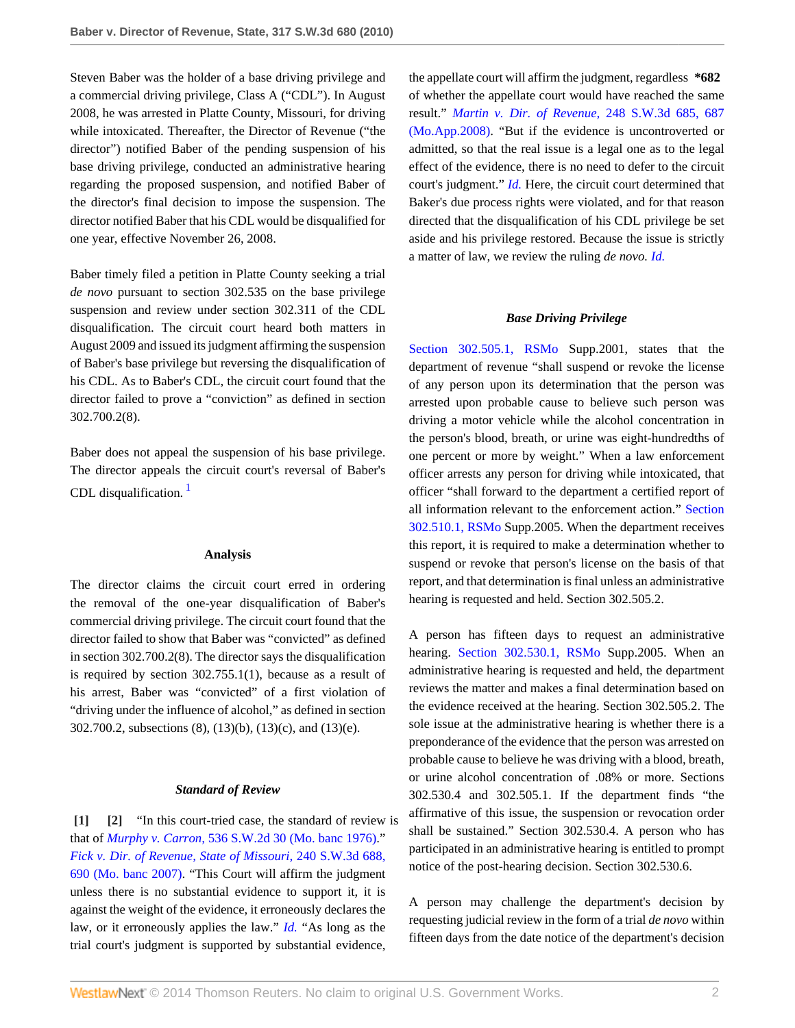Steven Baber was the holder of a base driving privilege and a commercial driving privilege, Class A ("CDL"). In August 2008, he was arrested in Platte County, Missouri, for driving while intoxicated. Thereafter, the Director of Revenue ("the director") notified Baber of the pending suspension of his base driving privilege, conducted an administrative hearing regarding the proposed suspension, and notified Baber of the director's final decision to impose the suspension. The director notified Baber that his CDL would be disqualified for one year, effective November 26, 2008.

Baber timely filed a petition in Platte County seeking a trial *de novo* pursuant to section 302.535 on the base privilege suspension and review under section 302.311 of the CDL disqualification. The circuit court heard both matters in August 2009 and issued its judgment affirming the suspension of Baber's base privilege but reversing the disqualification of his CDL. As to Baber's CDL, the circuit court found that the director failed to prove a "conviction" as defined in section 302.700.2(8).

Baber does not appeal the suspension of his base privilege. The director appeals the circuit court's reversal of Baber's CDL disqualification.  $<sup>1</sup>$  $<sup>1</sup>$  $<sup>1</sup>$ </sup>

## <span id="page-1-2"></span>**Analysis**

The director claims the circuit court erred in ordering the removal of the one-year disqualification of Baber's commercial driving privilege. The circuit court found that the director failed to show that Baber was "convicted" as defined in section 302.700.2(8). The director says the disqualification is required by section 302.755.1(1), because as a result of his arrest, Baber was "convicted" of a first violation of "driving under the influence of alcohol," as defined in section 302.700.2, subsections (8), (13)(b), (13)(c), and (13)(e).

## <span id="page-1-1"></span>*Standard of Review*

<span id="page-1-0"></span>**[\[1\]](#page-0-1) [\[2](#page-0-2)]** "In this court-tried case, the standard of review is that of *Murphy v. Carron,* [536 S.W.2d 30 \(Mo. banc 1976\)](http://www.westlaw.com/Link/Document/FullText?findType=Y&serNum=1976117479&pubNum=713&originationContext=document&vr=3.0&rs=cblt1.0&transitionType=DocumentItem&contextData=(sc.Search))." *[Fick v. Dir. of Revenue, State of Missouri,](http://www.westlaw.com/Link/Document/FullText?findType=Y&serNum=2014387174&pubNum=4644&fi=co_pp_sp_4644_690&originationContext=document&vr=3.0&rs=cblt1.0&transitionType=DocumentItem&contextData=(sc.Search)#co_pp_sp_4644_690)* 240 S.W.3d 688, [690 \(Mo. banc 2007\)](http://www.westlaw.com/Link/Document/FullText?findType=Y&serNum=2014387174&pubNum=4644&fi=co_pp_sp_4644_690&originationContext=document&vr=3.0&rs=cblt1.0&transitionType=DocumentItem&contextData=(sc.Search)#co_pp_sp_4644_690). "This Court will affirm the judgment unless there is no substantial evidence to support it, it is against the weight of the evidence, it erroneously declares the law, or it erroneously applies the law." *[Id.](http://www.westlaw.com/Link/Document/FullText?findType=Y&serNum=1976117479&originationContext=document&vr=3.0&rs=cblt1.0&transitionType=DocumentItem&contextData=(sc.Search))* "As long as the trial court's judgment is supported by substantial evidence,

the appellate court will affirm the judgment, regardless **\*682** of whether the appellate court would have reached the same result." *[Martin v. Dir. of Revenue,](http://www.westlaw.com/Link/Document/FullText?findType=Y&serNum=2015638740&pubNum=4644&fi=co_pp_sp_4644_687&originationContext=document&vr=3.0&rs=cblt1.0&transitionType=DocumentItem&contextData=(sc.Search)#co_pp_sp_4644_687)* 248 S.W.3d 685, 687 [\(Mo.App.2008\).](http://www.westlaw.com/Link/Document/FullText?findType=Y&serNum=2015638740&pubNum=4644&fi=co_pp_sp_4644_687&originationContext=document&vr=3.0&rs=cblt1.0&transitionType=DocumentItem&contextData=(sc.Search)#co_pp_sp_4644_687) "But if the evidence is uncontroverted or admitted, so that the real issue is a legal one as to the legal effect of the evidence, there is no need to defer to the circuit court's judgment." *[Id.](http://www.westlaw.com/Link/Document/FullText?findType=Y&serNum=2015638740&originationContext=document&vr=3.0&rs=cblt1.0&transitionType=DocumentItem&contextData=(sc.Search))* Here, the circuit court determined that Baker's due process rights were violated, and for that reason directed that the disqualification of his CDL privilege be set aside and his privilege restored. Because the issue is strictly a matter of law, we review the ruling *de novo. [Id.](http://www.westlaw.com/Link/Document/FullText?findType=Y&serNum=2015638740&originationContext=document&vr=3.0&rs=cblt1.0&transitionType=DocumentItem&contextData=(sc.Search))*

#### *Base Driving Privilege*

[Section 302.505.1, RSMo](http://www.westlaw.com/Link/Document/FullText?findType=L&pubNum=1000229&cite=MOST302.505&originatingDoc=Ie1cbdeaea9ea11df89d8bf2e8566150b&refType=LQ&originationContext=document&vr=3.0&rs=cblt1.0&transitionType=DocumentItem&contextData=(sc.Search)) Supp.2001, states that the department of revenue "shall suspend or revoke the license of any person upon its determination that the person was arrested upon probable cause to believe such person was driving a motor vehicle while the alcohol concentration in the person's blood, breath, or urine was eight-hundredths of one percent or more by weight." When a law enforcement officer arrests any person for driving while intoxicated, that officer "shall forward to the department a certified report of all information relevant to the enforcement action." [Section](http://www.westlaw.com/Link/Document/FullText?findType=L&pubNum=1000229&cite=MOST302.510&originatingDoc=Ie1cbdeaea9ea11df89d8bf2e8566150b&refType=LQ&originationContext=document&vr=3.0&rs=cblt1.0&transitionType=DocumentItem&contextData=(sc.Search)) [302.510.1, RSMo](http://www.westlaw.com/Link/Document/FullText?findType=L&pubNum=1000229&cite=MOST302.510&originatingDoc=Ie1cbdeaea9ea11df89d8bf2e8566150b&refType=LQ&originationContext=document&vr=3.0&rs=cblt1.0&transitionType=DocumentItem&contextData=(sc.Search)) Supp.2005. When the department receives this report, it is required to make a determination whether to suspend or revoke that person's license on the basis of that report, and that determination is final unless an administrative hearing is requested and held. Section 302.505.2.

A person has fifteen days to request an administrative hearing. [Section 302.530.1, RSMo](http://www.westlaw.com/Link/Document/FullText?findType=L&pubNum=1000229&cite=MOST302.530&originatingDoc=Ie1cbdeaea9ea11df89d8bf2e8566150b&refType=LQ&originationContext=document&vr=3.0&rs=cblt1.0&transitionType=DocumentItem&contextData=(sc.Search)) Supp.2005. When an administrative hearing is requested and held, the department reviews the matter and makes a final determination based on the evidence received at the hearing. Section 302.505.2. The sole issue at the administrative hearing is whether there is a preponderance of the evidence that the person was arrested on probable cause to believe he was driving with a blood, breath, or urine alcohol concentration of .08% or more. Sections 302.530.4 and 302.505.1. If the department finds "the affirmative of this issue, the suspension or revocation order shall be sustained." Section 302.530.4. A person who has participated in an administrative hearing is entitled to prompt notice of the post-hearing decision. Section 302.530.6.

A person may challenge the department's decision by requesting judicial review in the form of a trial *de novo* within fifteen days from the date notice of the department's decision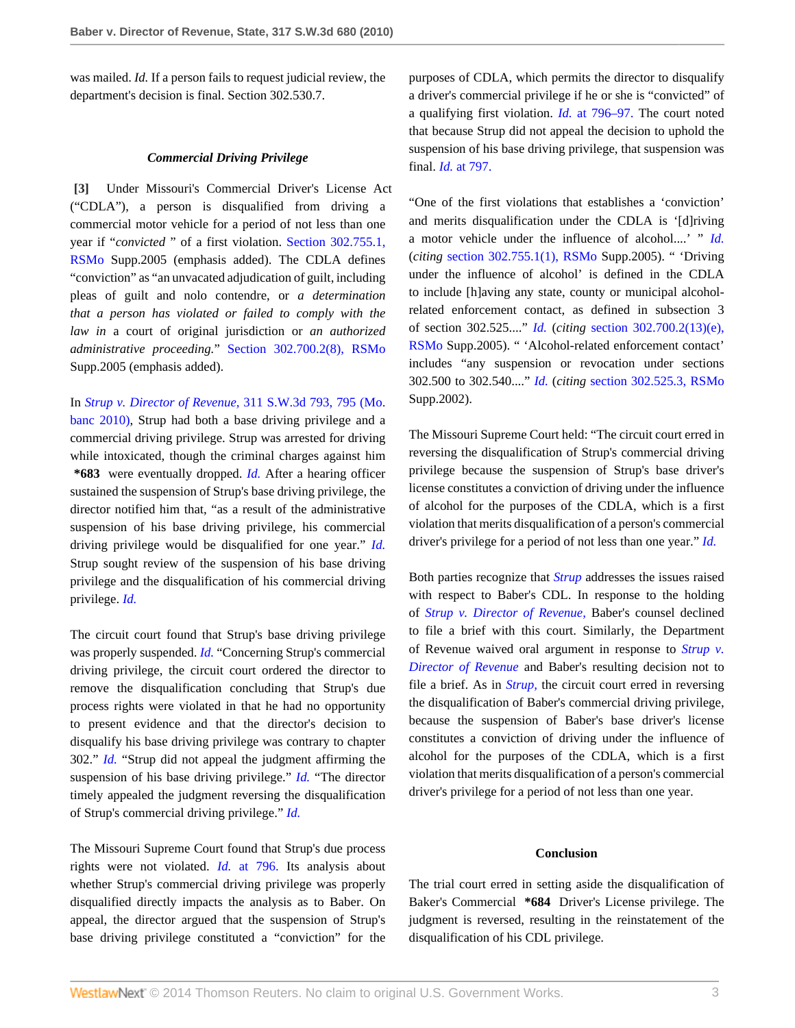was mailed. *Id.* If a person fails to request judicial review, the department's decision is final. Section 302.530.7.

# *Commercial Driving Privilege*

<span id="page-2-0"></span>**[\[3\]](#page-0-0)** Under Missouri's Commercial Driver's License Act ("CDLA"), a person is disqualified from driving a commercial motor vehicle for a period of not less than one year if "*convicted* " of a first violation. [Section 302.755.1,](http://www.westlaw.com/Link/Document/FullText?findType=L&pubNum=1000229&cite=MOST302.755&originatingDoc=Ie1cbdeaea9ea11df89d8bf2e8566150b&refType=LQ&originationContext=document&vr=3.0&rs=cblt1.0&transitionType=DocumentItem&contextData=(sc.Search)) [RSMo](http://www.westlaw.com/Link/Document/FullText?findType=L&pubNum=1000229&cite=MOST302.755&originatingDoc=Ie1cbdeaea9ea11df89d8bf2e8566150b&refType=LQ&originationContext=document&vr=3.0&rs=cblt1.0&transitionType=DocumentItem&contextData=(sc.Search)) Supp.2005 (emphasis added). The CDLA defines "conviction" as "an unvacated adjudication of guilt, including pleas of guilt and nolo contendre, or *a determination that a person has violated or failed to comply with the law in* a court of original jurisdiction or *an authorized administrative proceeding.*" [Section 302.700.2\(8\), RSMo](http://www.westlaw.com/Link/Document/FullText?findType=L&pubNum=1000229&cite=MOST302.700&originatingDoc=Ie1cbdeaea9ea11df89d8bf2e8566150b&refType=LQ&originationContext=document&vr=3.0&rs=cblt1.0&transitionType=DocumentItem&contextData=(sc.Search)) Supp.2005 (emphasis added).

In *[Strup v. Director of Revenue,](http://www.westlaw.com/Link/Document/FullText?findType=Y&serNum=2021840625&pubNum=4644&fi=co_pp_sp_4644_795&originationContext=document&vr=3.0&rs=cblt1.0&transitionType=DocumentItem&contextData=(sc.Search)#co_pp_sp_4644_795)* 311 S.W.3d 793, 795 (Mo. [banc 2010\)](http://www.westlaw.com/Link/Document/FullText?findType=Y&serNum=2021840625&pubNum=4644&fi=co_pp_sp_4644_795&originationContext=document&vr=3.0&rs=cblt1.0&transitionType=DocumentItem&contextData=(sc.Search)#co_pp_sp_4644_795), Strup had both a base driving privilege and a commercial driving privilege. Strup was arrested for driving while intoxicated, though the criminal charges against him **\*683** were eventually dropped. *[Id.](http://www.westlaw.com/Link/Document/FullText?findType=Y&serNum=2021840625&originationContext=document&vr=3.0&rs=cblt1.0&transitionType=DocumentItem&contextData=(sc.Search))* After a hearing officer sustained the suspension of Strup's base driving privilege, the director notified him that, "as a result of the administrative suspension of his base driving privilege, his commercial driving privilege would be disqualified for one year." *[Id.](http://www.westlaw.com/Link/Document/FullText?findType=Y&serNum=2021840625&originationContext=document&vr=3.0&rs=cblt1.0&transitionType=DocumentItem&contextData=(sc.Search))* Strup sought review of the suspension of his base driving privilege and the disqualification of his commercial driving privilege. *[Id.](http://www.westlaw.com/Link/Document/FullText?findType=Y&serNum=2021840625&originationContext=document&vr=3.0&rs=cblt1.0&transitionType=DocumentItem&contextData=(sc.Search))*

The circuit court found that Strup's base driving privilege was properly suspended. *[Id.](http://www.westlaw.com/Link/Document/FullText?findType=Y&serNum=2021840625&originationContext=document&vr=3.0&rs=cblt1.0&transitionType=DocumentItem&contextData=(sc.Search))* "Concerning Strup's commercial driving privilege, the circuit court ordered the director to remove the disqualification concluding that Strup's due process rights were violated in that he had no opportunity to present evidence and that the director's decision to disqualify his base driving privilege was contrary to chapter 302." *[Id.](http://www.westlaw.com/Link/Document/FullText?findType=Y&serNum=2021840625&originationContext=document&vr=3.0&rs=cblt1.0&transitionType=DocumentItem&contextData=(sc.Search))* "Strup did not appeal the judgment affirming the suspension of his base driving privilege." *[Id.](http://www.westlaw.com/Link/Document/FullText?findType=Y&serNum=2021840625&originationContext=document&vr=3.0&rs=cblt1.0&transitionType=DocumentItem&contextData=(sc.Search))* "The director timely appealed the judgment reversing the disqualification of Strup's commercial driving privilege." *[Id.](http://www.westlaw.com/Link/Document/FullText?findType=Y&serNum=2021840625&originationContext=document&vr=3.0&rs=cblt1.0&transitionType=DocumentItem&contextData=(sc.Search))*

The Missouri Supreme Court found that Strup's due process rights were not violated. *Id.* [at 796.](http://www.westlaw.com/Link/Document/FullText?findType=Y&serNum=2021840625&originationContext=document&vr=3.0&rs=cblt1.0&transitionType=DocumentItem&contextData=(sc.Search)) Its analysis about whether Strup's commercial driving privilege was properly disqualified directly impacts the analysis as to Baber. On appeal, the director argued that the suspension of Strup's base driving privilege constituted a "conviction" for the

purposes of CDLA, which permits the director to disqualify a driver's commercial privilege if he or she is "convicted" of a qualifying first violation. *Id.* [at 796–97.](http://www.westlaw.com/Link/Document/FullText?findType=Y&serNum=2021840625&originationContext=document&vr=3.0&rs=cblt1.0&transitionType=DocumentItem&contextData=(sc.Search)) The court noted that because Strup did not appeal the decision to uphold the suspension of his base driving privilege, that suspension was final. *Id.* [at 797.](http://www.westlaw.com/Link/Document/FullText?findType=Y&serNum=2021840625&originationContext=document&vr=3.0&rs=cblt1.0&transitionType=DocumentItem&contextData=(sc.Search))

"One of the first violations that establishes a 'conviction' and merits disqualification under the CDLA is '[d]riving a motor vehicle under the influence of alcohol....' " *[Id.](http://www.westlaw.com/Link/Document/FullText?findType=Y&serNum=2021840625&originationContext=document&vr=3.0&rs=cblt1.0&transitionType=DocumentItem&contextData=(sc.Search))* (*citing* [section 302.755.1\(1\), RSMo](http://www.westlaw.com/Link/Document/FullText?findType=L&pubNum=1000229&cite=MOST302.755&originatingDoc=Ie1cbdeaea9ea11df89d8bf2e8566150b&refType=LQ&originationContext=document&vr=3.0&rs=cblt1.0&transitionType=DocumentItem&contextData=(sc.Search)) Supp.2005). " 'Driving under the influence of alcohol' is defined in the CDLA to include [h]aving any state, county or municipal alcoholrelated enforcement contact, as defined in subsection 3 of section 302.525...." *[Id.](http://www.westlaw.com/Link/Document/FullText?findType=Y&serNum=2021840625&originationContext=document&vr=3.0&rs=cblt1.0&transitionType=DocumentItem&contextData=(sc.Search))* (*citing* [section 302.700.2\(13\)\(e\),](http://www.westlaw.com/Link/Document/FullText?findType=L&pubNum=1000229&cite=MOST302.700&originatingDoc=Ie1cbdeaea9ea11df89d8bf2e8566150b&refType=LQ&originationContext=document&vr=3.0&rs=cblt1.0&transitionType=DocumentItem&contextData=(sc.Search)) [RSMo](http://www.westlaw.com/Link/Document/FullText?findType=L&pubNum=1000229&cite=MOST302.700&originatingDoc=Ie1cbdeaea9ea11df89d8bf2e8566150b&refType=LQ&originationContext=document&vr=3.0&rs=cblt1.0&transitionType=DocumentItem&contextData=(sc.Search)) Supp.2005). " 'Alcohol-related enforcement contact' includes "any suspension or revocation under sections 302.500 to 302.540...." *[Id.](http://www.westlaw.com/Link/Document/FullText?findType=Y&serNum=2021840625&originationContext=document&vr=3.0&rs=cblt1.0&transitionType=DocumentItem&contextData=(sc.Search))* (*citing* [section 302.525.3, RSMo](http://www.westlaw.com/Link/Document/FullText?findType=L&pubNum=1000229&cite=MOST302.525&originatingDoc=Ie1cbdeaea9ea11df89d8bf2e8566150b&refType=LQ&originationContext=document&vr=3.0&rs=cblt1.0&transitionType=DocumentItem&contextData=(sc.Search)) Supp.2002).

The Missouri Supreme Court held: "The circuit court erred in reversing the disqualification of Strup's commercial driving privilege because the suspension of Strup's base driver's license constitutes a conviction of driving under the influence of alcohol for the purposes of the CDLA, which is a first violation that merits disqualification of a person's commercial driver's privilege for a period of not less than one year." *[Id.](http://www.westlaw.com/Link/Document/FullText?findType=Y&serNum=2021840625&originationContext=document&vr=3.0&rs=cblt1.0&transitionType=DocumentItem&contextData=(sc.Search))*

Both parties recognize that *[Strup](http://www.westlaw.com/Link/Document/FullText?findType=Y&serNum=2021840625&originationContext=document&vr=3.0&rs=cblt1.0&transitionType=DocumentItem&contextData=(sc.Search))* addresses the issues raised with respect to Baber's CDL. In response to the holding of *[Strup v. Director of Revenue,](http://www.westlaw.com/Link/Document/FullText?findType=Y&serNum=2021840625&originationContext=document&vr=3.0&rs=cblt1.0&transitionType=DocumentItem&contextData=(sc.Search))* Baber's counsel declined to file a brief with this court. Similarly, the Department of Revenue waived oral argument in response to *[Strup v.](http://www.westlaw.com/Link/Document/FullText?findType=Y&serNum=2021840625&originationContext=document&vr=3.0&rs=cblt1.0&transitionType=DocumentItem&contextData=(sc.Search)) [Director of Revenue](http://www.westlaw.com/Link/Document/FullText?findType=Y&serNum=2021840625&originationContext=document&vr=3.0&rs=cblt1.0&transitionType=DocumentItem&contextData=(sc.Search))* and Baber's resulting decision not to file a brief. As in *[Strup,](http://www.westlaw.com/Link/Document/FullText?findType=Y&serNum=2021840625&originationContext=document&vr=3.0&rs=cblt1.0&transitionType=DocumentItem&contextData=(sc.Search))* the circuit court erred in reversing the disqualification of Baber's commercial driving privilege, because the suspension of Baber's base driver's license constitutes a conviction of driving under the influence of alcohol for the purposes of the CDLA, which is a first violation that merits disqualification of a person's commercial driver's privilege for a period of not less than one year.

## **Conclusion**

The trial court erred in setting aside the disqualification of Baker's Commercial **\*684** Driver's License privilege. The judgment is reversed, resulting in the reinstatement of the disqualification of his CDL privilege.